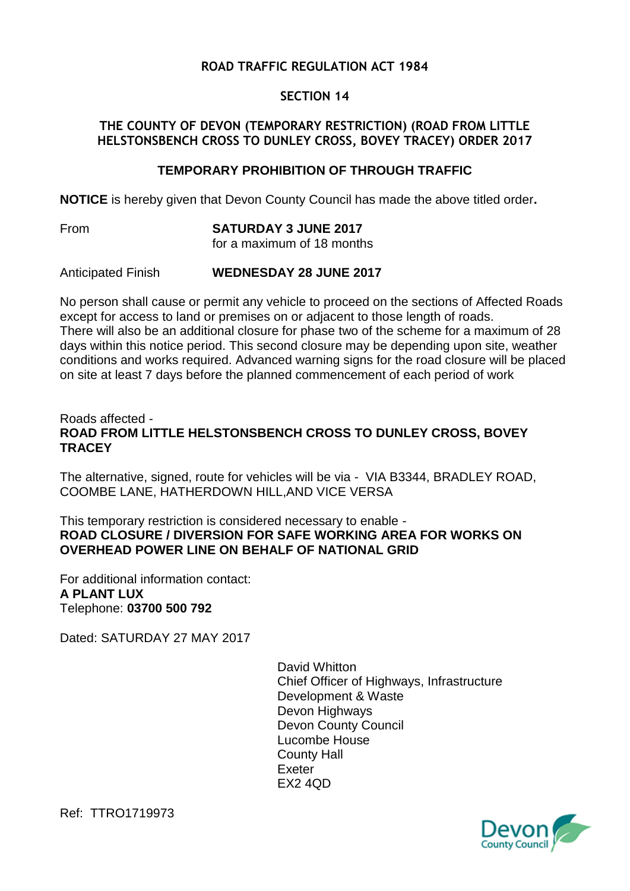# **ROAD TRAFFIC REGULATION ACT 1984**

# **SECTION 14**

#### **THE COUNTY OF DEVON (TEMPORARY RESTRICTION) (ROAD FROM LITTLE HELSTONSBENCH CROSS TO DUNLEY CROSS, BOVEY TRACEY) ORDER 2017**

## **TEMPORARY PROHIBITION OF THROUGH TRAFFIC**

**NOTICE** is hereby given that Devon County Council has made the above titled order**.**

From **SATURDAY 3 JUNE 2017** for a maximum of 18 months

Anticipated Finish **WEDNESDAY 28 JUNE 2017**

No person shall cause or permit any vehicle to proceed on the sections of Affected Roads except for access to land or premises on or adjacent to those length of roads. There will also be an additional closure for phase two of the scheme for a maximum of 28 days within this notice period. This second closure may be depending upon site, weather conditions and works required. Advanced warning signs for the road closure will be placed on site at least 7 days before the planned commencement of each period of work

#### Roads affected - **ROAD FROM LITTLE HELSTONSBENCH CROSS TO DUNLEY CROSS, BOVEY TRACEY**

The alternative, signed, route for vehicles will be via - VIA B3344, BRADLEY ROAD, COOMBE LANE, HATHERDOWN HILL,AND VICE VERSA

This temporary restriction is considered necessary to enable - **ROAD CLOSURE / DIVERSION FOR SAFE WORKING AREA FOR WORKS ON OVERHEAD POWER LINE ON BEHALF OF NATIONAL GRID**

For additional information contact: **A PLANT LUX** Telephone: **03700 500 792**

Dated: SATURDAY 27 MAY 2017

David Whitton Chief Officer of Highways, Infrastructure Development & Waste Devon Highways Devon County Council Lucombe House County Hall Exeter EX2 4QD